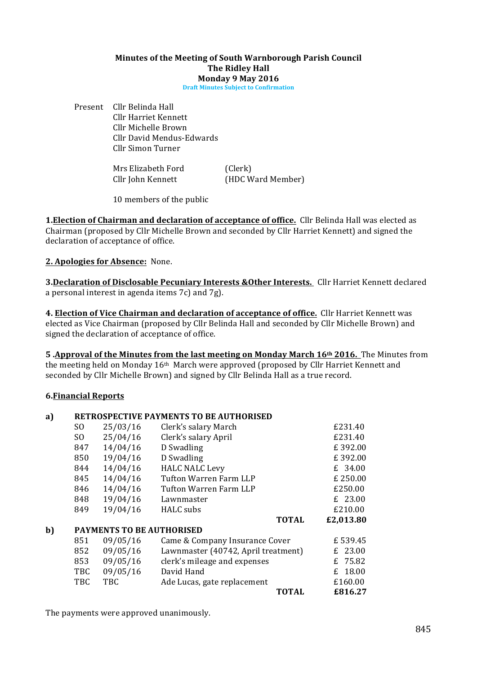#### **Minutes of the Meeting of South Warnborough Parish Council The Ridley Hall Monday 9 May 2016**

**Draft Minutes Subject to Confirmation** 

Present Cllr Belinda Hall Cllr Harriet Kennett Cllr Michelle Brown Cllr David Mendus-Edwards Cllr Simon Turner

| Mrs Elizabeth Ford | (Clerk)           |
|--------------------|-------------------|
| Cllr John Kennett  | (HDC Ward Member) |

10 members of the public

**1. Election of Chairman and declaration of acceptance of office.** Cllr Belinda Hall was elected as Chairman (proposed by Cllr Michelle Brown and seconded by Cllr Harriet Kennett) and signed the declaration of acceptance of office.

**2. Apologies for Absence:** None.

**3.Declaration of Disclosable Pecuniary Interests &Other Interests.** Cllr Harriet Kennett declared a personal interest in agenda items  $7c$ ) and  $7g$ ).

**4. Election of Vice Chairman and declaration of acceptance of office.** Cllr Harriet Kennett was elected as Vice Chairman (proposed by Cllr Belinda Hall and seconded by Cllr Michelle Brown) and signed the declaration of acceptance of office.

**5** Approval of the Minutes from the last meeting on Monday March 16th 2016. The Minutes from the meeting held on Monday  $16<sup>th</sup>$  March were approved (proposed by Cllr Harriet Kennett and seconded by Cllr Michelle Brown) and signed by Cllr Belinda Hall as a true record.

## **6.Financial Reports**

#### a) RETROSPECTIVE PAYMENTS TO BE AUTHORISED  $SO \qquad 25/03/16 \qquad$  Clerk's salary March  $E231.40$  $SO$  25/04/16 Clerk's salary April  $£231.40$ 847 14/04/16 D Swadling **E** 392.00 850 19/04/16 D Swadling **E** 392.00 844 14/04/16 HALC NALC Levy £ 34.00  $845 \qquad 14/04/16 \qquad$  Tufton Warren Farm LLP  $\qquad 250.00$ 846 14/04/16 Tufton Warren Farm LLP  $£250.00$ 848 19/04/16 Lawnmaster **E** 23.00 849 19/04/16 HALC subs **E210.00 TOTAL** *E2,013.80* **b) PAYMENTS TO BE AUTHORISED**  $851$  09/05/16 Came & Company Insurance Cover  $E$  539.45 852 09/05/16 Lawnmaster (40742, April treatment)  $\angle$  23.00<br>853 09/05/16 clerk's mileage and expenses  $\angle$  25.82  $853$  09/05/16 clerk's mileage and expenses TBC  $09/05/16$  David Hand  $E$  18.00 TBC TBC Ade Lucas, gate replacement  $£160.00$ **TOTAL £816.27**

The payments were approved unanimously.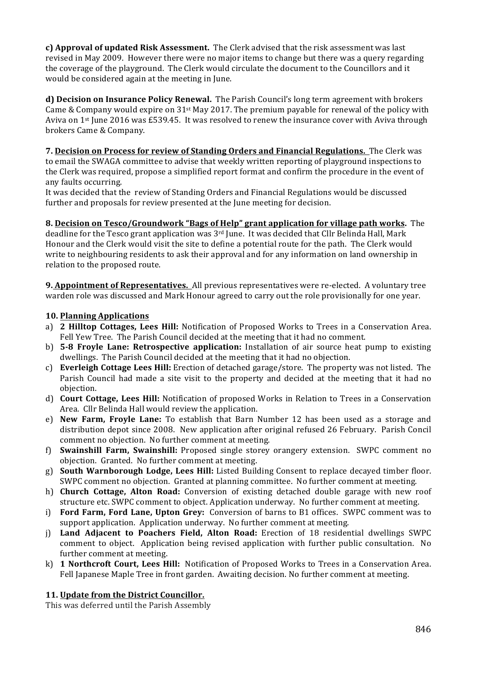**c)** Approval of updated Risk Assessment. The Clerk advised that the risk assessment was last revised in May 2009. However there were no major items to change but there was a query regarding the coverage of the playground. The Clerk would circulate the document to the Councillors and it would be considered again at the meeting in June.

**d) Decision on Insurance Policy Renewal.** The Parish Council's long term agreement with brokers Came & Company would expire on  $31<sup>st</sup>$  May 2017. The premium payable for renewal of the policy with Aviva on  $1$ <sup>st</sup> June 2016 was £539.45. It was resolved to renew the insurance cover with Aviva through brokers Came & Company.

**7. Decision on Process for review of Standing Orders and Financial Regulations.** The Clerk was to email the SWAGA committee to advise that weekly written reporting of playground inspections to the Clerk was required, propose a simplified report format and confirm the procedure in the event of any faults occurring.

It was decided that the review of Standing Orders and Financial Regulations would be discussed further and proposals for review presented at the June meeting for decision.

**8. Decision on Tesco/Groundwork "Bags of Help" grant application for village path works.** The deadline for the Tesco grant application was  $3<sup>rd</sup>$  June. It was decided that Cllr Belinda Hall, Mark Honour and the Clerk would visit the site to define a potential route for the path. The Clerk would write to neighbouring residents to ask their approval and for any information on land ownership in relation to the proposed route.

**9.** Appointment of Representatives. All previous representatives were re-elected. A voluntary tree warden role was discussed and Mark Honour agreed to carry out the role provisionally for one year.

## **10. Planning Applications**

- a) **2 Hilltop Cottages, Lees Hill:** Notification of Proposed Works to Trees in a Conservation Area. Fell Yew Tree. The Parish Council decided at the meeting that it had no comment.
- b) **5-8 Froyle Lane: Retrospective application:** Installation of air source heat pump to existing dwellings. The Parish Council decided at the meeting that it had no objection.
- c) **Everleigh Cottage Lees Hill:** Erection of detached garage/store. The property was not listed. The Parish Council had made a site visit to the property and decided at the meeting that it had no objection.
- d) **Court Cottage, Lees Hill:** Notification of proposed Works in Relation to Trees in a Conservation Area. Cllr Belinda Hall would review the application.
- e) New Farm, Froyle Lane: To establish that Barn Number 12 has been used as a storage and distribution depot since 2008. New application after original refused 26 February. Parish Concil comment no objection. No further comment at meeting.
- f) **Swainshill Farm, Swainshill:** Proposed single storey orangery extension. SWPC comment no objection. Granted. No further comment at meeting.
- g) **South Warnborough Lodge, Lees Hill:** Listed Building Consent to replace decayed timber floor. SWPC comment no objection. Granted at planning committee. No further comment at meeting.
- h) **Church Cottage, Alton Road:** Conversion of existing detached double garage with new roof structure etc. SWPC comment to object. Application underway. No further comment at meeting.
- i) **Ford Farm, Ford Lane, Upton Grey:** Conversion of barns to B1 offices. SWPC comment was to support application. Application underway. No further comment at meeting.
- j) **Land Adjacent to Poachers Field, Alton Road:** Erection of 18 residential dwellings SWPC comment to object. Application being revised application with further public consultation. No further comment at meeting.
- k) **1 Northcroft Court, Lees Hill:** Notification of Proposed Works to Trees in a Conservation Area. Fell Japanese Maple Tree in front garden. Awaiting decision. No further comment at meeting.

# 11. Update from the District Councillor.

This was deferred until the Parish Assembly